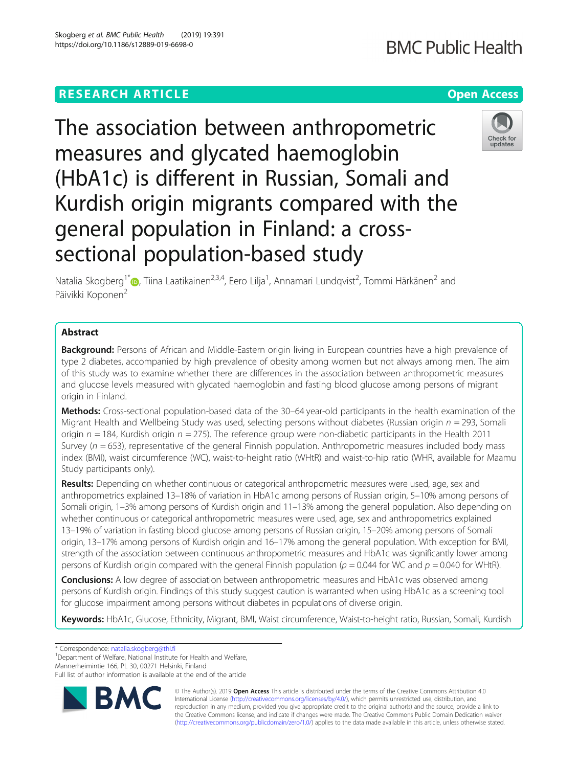# **RESEARCH ARTICLE Example 2014 12:30 The Company of Company Access**

The association between anthropometric measures and glycated haemoglobin (HbA1c) is different in Russian, Somali and Kurdish origin migrants compared with the general population in Finland: a crosssectional population-based study

Natalia Skogberg<sup>1\*</sup>®, Tiina Laatikainen<sup>2,3,4</sup>, Eero Lilja<sup>1</sup>, Annamari Lundqvist<sup>2</sup>, Tommi Härkänen<sup>2</sup> and Päivikki Koponen<sup>2</sup>

## Abstract

Background: Persons of African and Middle-Eastern origin living in European countries have a high prevalence of type 2 diabetes, accompanied by high prevalence of obesity among women but not always among men. The aim of this study was to examine whether there are differences in the association between anthropometric measures and glucose levels measured with glycated haemoglobin and fasting blood glucose among persons of migrant origin in Finland.

Methods: Cross-sectional population-based data of the 30–64 year-old participants in the health examination of the Migrant Health and Wellbeing Study was used, selecting persons without diabetes (Russian origin  $n = 293$ , Somali origin  $n = 184$ , Kurdish origin  $n = 275$ ). The reference group were non-diabetic participants in the Health 2011 Survey ( $n = 653$ ), representative of the general Finnish population. Anthropometric measures included body mass index (BMI), waist circumference (WC), waist-to-height ratio (WHtR) and waist-to-hip ratio (WHR, available for Maamu Study participants only).

Results: Depending on whether continuous or categorical anthropometric measures were used, age, sex and anthropometrics explained 13–18% of variation in HbA1c among persons of Russian origin, 5–10% among persons of Somali origin, 1–3% among persons of Kurdish origin and 11–13% among the general population. Also depending on whether continuous or categorical anthropometric measures were used, age, sex and anthropometrics explained 13–19% of variation in fasting blood glucose among persons of Russian origin, 15–20% among persons of Somali origin, 13–17% among persons of Kurdish origin and 16–17% among the general population. With exception for BMI, strength of the association between continuous anthropometric measures and HbA1c was significantly lower among persons of Kurdish origin compared with the general Finnish population ( $p = 0.044$  for WC and  $p = 0.040$  for WHtR).

**Conclusions:** A low degree of association between anthropometric measures and HbA1c was observed among persons of Kurdish origin. Findings of this study suggest caution is warranted when using HbA1c as a screening tool for glucose impairment among persons without diabetes in populations of diverse origin.

Keywords: HbA1c, Glucose, Ethnicity, Migrant, BMI, Waist circumference, Waist-to-height ratio, Russian, Somali, Kurdish

\* Correspondence: [natalia.skogberg@thl.fi](mailto:natalia.skogberg@thl.fi) <sup>1</sup>

<sup>1</sup>Department of Welfare, National Institute for Health and Welfare,

Mannerheimintie 166, PL 30, 00271 Helsinki, Finland



© The Author(s). 2019 Open Access This article is distributed under the terms of the Creative Commons Attribution 4.0 International License [\(http://creativecommons.org/licenses/by/4.0/](http://creativecommons.org/licenses/by/4.0/)), which permits unrestricted use, distribution, and reproduction in any medium, provided you give appropriate credit to the original author(s) and the source, provide a link to the Creative Commons license, and indicate if changes were made. The Creative Commons Public Domain Dedication waiver [\(http://creativecommons.org/publicdomain/zero/1.0/](http://creativecommons.org/publicdomain/zero/1.0/)) applies to the data made available in this article, unless otherwise stated.



**BMC Public Health** 

Full list of author information is available at the end of the article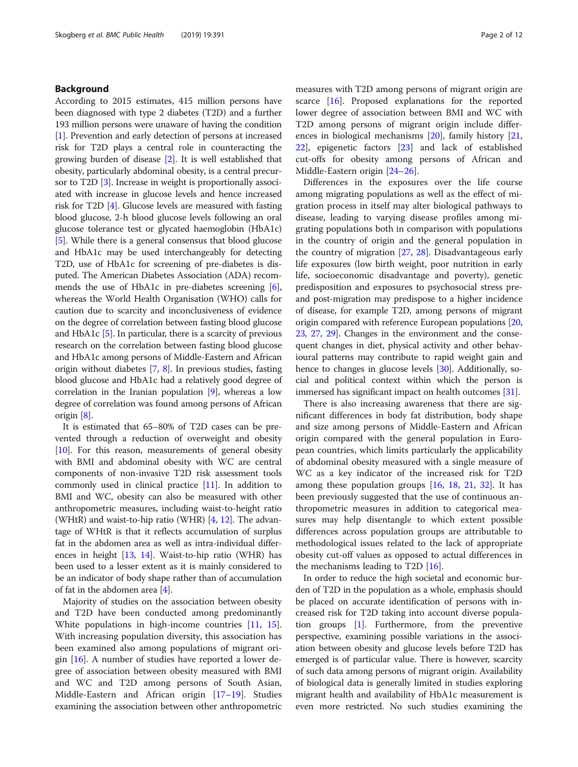## Background

According to 2015 estimates, 415 million persons have been diagnosed with type 2 diabetes (T2D) and a further 193 million persons were unaware of having the condition [[1\]](#page-10-0). Prevention and early detection of persons at increased risk for T2D plays a central role in counteracting the growing burden of disease [[2](#page-10-0)]. It is well established that obesity, particularly abdominal obesity, is a central precursor to T2D [[3](#page-10-0)]. Increase in weight is proportionally associated with increase in glucose levels and hence increased risk for T2D [\[4](#page-10-0)]. Glucose levels are measured with fasting blood glucose, 2-h blood glucose levels following an oral glucose tolerance test or glycated haemoglobin (HbA1c) [[5\]](#page-10-0). While there is a general consensus that blood glucose and HbA1c may be used interchangeably for detecting T2D, use of HbA1c for screening of pre-diabetes is disputed. The American Diabetes Association (ADA) recom-mends the use of HbA1c in pre-diabetes screening [[6](#page-10-0)], whereas the World Health Organisation (WHO) calls for caution due to scarcity and inconclusiveness of evidence on the degree of correlation between fasting blood glucose and HbA1c [\[5](#page-10-0)]. In particular, there is a scarcity of previous research on the correlation between fasting blood glucose and HbA1c among persons of Middle-Eastern and African origin without diabetes [\[7,](#page-10-0) [8](#page-10-0)]. In previous studies, fasting blood glucose and HbA1c had a relatively good degree of correlation in the Iranian population [[9\]](#page-10-0), whereas a low degree of correlation was found among persons of African origin [[8\]](#page-10-0).

It is estimated that 65–80% of T2D cases can be prevented through a reduction of overweight and obesity [[10](#page-10-0)]. For this reason, measurements of general obesity with BMI and abdominal obesity with WC are central components of non-invasive T2D risk assessment tools commonly used in clinical practice [[11\]](#page-10-0). In addition to BMI and WC, obesity can also be measured with other anthropometric measures, including waist-to-height ratio (WHtR) and waist-to-hip ratio (WHR) [\[4](#page-10-0), [12\]](#page-10-0). The advantage of WHtR is that it reflects accumulation of surplus fat in the abdomen area as well as intra-individual differences in height [\[13](#page-10-0), [14](#page-10-0)]. Waist-to-hip ratio (WHR) has been used to a lesser extent as it is mainly considered to be an indicator of body shape rather than of accumulation of fat in the abdomen area [[4\]](#page-10-0).

Majority of studies on the association between obesity and T2D have been conducted among predominantly White populations in high-income countries [[11,](#page-10-0) [15](#page-10-0)]. With increasing population diversity, this association has been examined also among populations of migrant origin [[16\]](#page-10-0). A number of studies have reported a lower degree of association between obesity measured with BMI and WC and T2D among persons of South Asian, Middle-Eastern and African origin [[17](#page-10-0)–[19](#page-10-0)]. Studies examining the association between other anthropometric measures with T2D among persons of migrant origin are scarce [[16\]](#page-10-0). Proposed explanations for the reported lower degree of association between BMI and WC with T2D among persons of migrant origin include differences in biological mechanisms [[20](#page-10-0)], family history [[21](#page-10-0), [22\]](#page-10-0), epigenetic factors [\[23\]](#page-10-0) and lack of established cut-offs for obesity among persons of African and Middle-Eastern origin [[24](#page-10-0)–[26\]](#page-10-0).

Differences in the exposures over the life course among migrating populations as well as the effect of migration process in itself may alter biological pathways to disease, leading to varying disease profiles among migrating populations both in comparison with populations in the country of origin and the general population in the country of migration [[27](#page-10-0), [28\]](#page-10-0). Disadvantageous early life exposures (low birth weight, poor nutrition in early life, socioeconomic disadvantage and poverty), genetic predisposition and exposures to psychosocial stress preand post-migration may predispose to a higher incidence of disease, for example T2D, among persons of migrant origin compared with reference European populations [[20](#page-10-0), [23](#page-10-0), [27](#page-10-0), [29\]](#page-10-0). Changes in the environment and the consequent changes in diet, physical activity and other behavioural patterns may contribute to rapid weight gain and hence to changes in glucose levels [[30\]](#page-10-0). Additionally, social and political context within which the person is immersed has significant impact on health outcomes [\[31\]](#page-10-0).

There is also increasing awareness that there are significant differences in body fat distribution, body shape and size among persons of Middle-Eastern and African origin compared with the general population in European countries, which limits particularly the applicability of abdominal obesity measured with a single measure of WC as a key indicator of the increased risk for T2D among these population groups  $[16, 18, 21, 32]$  $[16, 18, 21, 32]$  $[16, 18, 21, 32]$  $[16, 18, 21, 32]$  $[16, 18, 21, 32]$  $[16, 18, 21, 32]$  $[16, 18, 21, 32]$  $[16, 18, 21, 32]$ . It has been previously suggested that the use of continuous anthropometric measures in addition to categorical measures may help disentangle to which extent possible differences across population groups are attributable to methodological issues related to the lack of appropriate obesity cut-off values as opposed to actual differences in the mechanisms leading to T2D [\[16\]](#page-10-0).

In order to reduce the high societal and economic burden of T2D in the population as a whole, emphasis should be placed on accurate identification of persons with increased risk for T2D taking into account diverse population groups [\[1\]](#page-10-0). Furthermore, from the preventive perspective, examining possible variations in the association between obesity and glucose levels before T2D has emerged is of particular value. There is however, scarcity of such data among persons of migrant origin. Availability of biological data is generally limited in studies exploring migrant health and availability of HbA1c measurement is even more restricted. No such studies examining the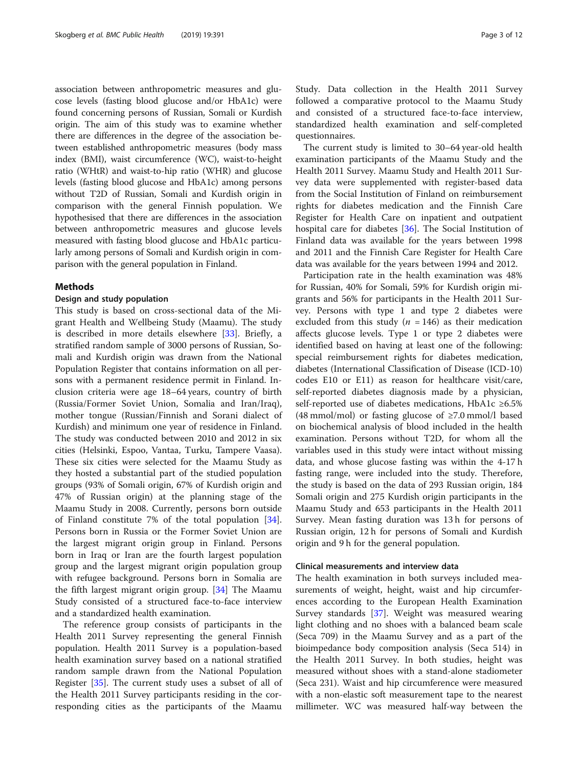association between anthropometric measures and glucose levels (fasting blood glucose and/or HbA1c) were found concerning persons of Russian, Somali or Kurdish origin. The aim of this study was to examine whether there are differences in the degree of the association between established anthropometric measures (body mass index (BMI), waist circumference (WC), waist-to-height ratio (WHtR) and waist-to-hip ratio (WHR) and glucose levels (fasting blood glucose and HbA1c) among persons without T2D of Russian, Somali and Kurdish origin in comparison with the general Finnish population. We hypothesised that there are differences in the association between anthropometric measures and glucose levels measured with fasting blood glucose and HbA1c particularly among persons of Somali and Kurdish origin in comparison with the general population in Finland.

## Methods

## Design and study population

This study is based on cross-sectional data of the Migrant Health and Wellbeing Study (Maamu). The study is described in more details elsewhere [[33\]](#page-11-0). Briefly, a stratified random sample of 3000 persons of Russian, Somali and Kurdish origin was drawn from the National Population Register that contains information on all persons with a permanent residence permit in Finland. Inclusion criteria were age 18–64 years, country of birth (Russia/Former Soviet Union, Somalia and Iran/Iraq), mother tongue (Russian/Finnish and Sorani dialect of Kurdish) and minimum one year of residence in Finland. The study was conducted between 2010 and 2012 in six cities (Helsinki, Espoo, Vantaa, Turku, Tampere Vaasa). These six cities were selected for the Maamu Study as they hosted a substantial part of the studied population groups (93% of Somali origin, 67% of Kurdish origin and 47% of Russian origin) at the planning stage of the Maamu Study in 2008. Currently, persons born outside of Finland constitute 7% of the total population [\[34](#page-11-0)]. Persons born in Russia or the Former Soviet Union are the largest migrant origin group in Finland. Persons born in Iraq or Iran are the fourth largest population group and the largest migrant origin population group with refugee background. Persons born in Somalia are the fifth largest migrant origin group. [\[34\]](#page-11-0) The Maamu Study consisted of a structured face-to-face interview and a standardized health examination.

The reference group consists of participants in the Health 2011 Survey representing the general Finnish population. Health 2011 Survey is a population-based health examination survey based on a national stratified random sample drawn from the National Population Register [[35\]](#page-11-0). The current study uses a subset of all of the Health 2011 Survey participants residing in the corresponding cities as the participants of the Maamu Study. Data collection in the Health 2011 Survey followed a comparative protocol to the Maamu Study and consisted of a structured face-to-face interview, standardized health examination and self-completed questionnaires.

The current study is limited to 30–64 year-old health examination participants of the Maamu Study and the Health 2011 Survey. Maamu Study and Health 2011 Survey data were supplemented with register-based data from the Social Institution of Finland on reimbursement rights for diabetes medication and the Finnish Care Register for Health Care on inpatient and outpatient hospital care for diabetes [[36\]](#page-11-0). The Social Institution of Finland data was available for the years between 1998 and 2011 and the Finnish Care Register for Health Care data was available for the years between 1994 and 2012.

Participation rate in the health examination was 48% for Russian, 40% for Somali, 59% for Kurdish origin migrants and 56% for participants in the Health 2011 Survey. Persons with type 1 and type 2 diabetes were excluded from this study ( $n = 146$ ) as their medication affects glucose levels. Type 1 or type 2 diabetes were identified based on having at least one of the following: special reimbursement rights for diabetes medication, diabetes (International Classification of Disease (ICD-10) codes E10 or E11) as reason for healthcare visit/care, self-reported diabetes diagnosis made by a physician, self-reported use of diabetes medications, HbA1c ≥6.5% (48 mmol/mol) or fasting glucose of ≥7.0 mmol/l based on biochemical analysis of blood included in the health examination. Persons without T2D, for whom all the variables used in this study were intact without missing data, and whose glucose fasting was within the 4-17 h fasting range, were included into the study. Therefore, the study is based on the data of 293 Russian origin, 184 Somali origin and 275 Kurdish origin participants in the Maamu Study and 653 participants in the Health 2011 Survey. Mean fasting duration was 13 h for persons of Russian origin, 12 h for persons of Somali and Kurdish origin and 9 h for the general population.

## Clinical measurements and interview data

The health examination in both surveys included measurements of weight, height, waist and hip circumferences according to the European Health Examination Survey standards [\[37](#page-11-0)]. Weight was measured wearing light clothing and no shoes with a balanced beam scale (Seca 709) in the Maamu Survey and as a part of the bioimpedance body composition analysis (Seca 514) in the Health 2011 Survey. In both studies, height was measured without shoes with a stand-alone stadiometer (Seca 231). Waist and hip circumference were measured with a non-elastic soft measurement tape to the nearest millimeter. WC was measured half-way between the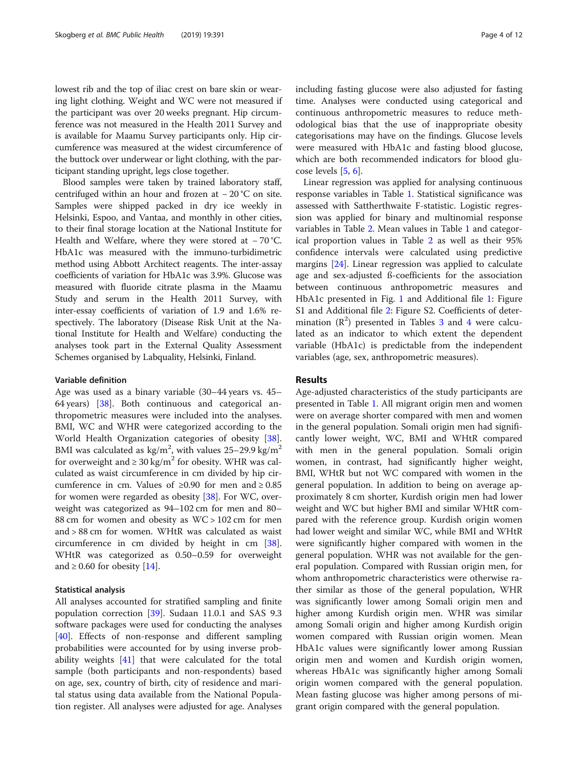lowest rib and the top of iliac crest on bare skin or wearing light clothing. Weight and WC were not measured if the participant was over 20 weeks pregnant. Hip circumference was not measured in the Health 2011 Survey and is available for Maamu Survey participants only. Hip circumference was measured at the widest circumference of the buttock over underwear or light clothing, with the participant standing upright, legs close together.

Blood samples were taken by trained laboratory staff, centrifuged within an hour and frozen at − 20 °C on site. Samples were shipped packed in dry ice weekly in Helsinki, Espoo, and Vantaa, and monthly in other cities, to their final storage location at the National Institute for Health and Welfare, where they were stored at −70 °C. HbA1c was measured with the immuno-turbidimetric method using Abbott Architect reagents. The inter-assay coefficients of variation for HbA1c was 3.9%. Glucose was measured with fluoride citrate plasma in the Maamu Study and serum in the Health 2011 Survey, with inter-essay coefficients of variation of 1.9 and 1.6% respectively. The laboratory (Disease Risk Unit at the National Institute for Health and Welfare) conducting the analyses took part in the External Quality Assessment Schemes organised by Labquality, Helsinki, Finland.

#### Variable definition

Age was used as a binary variable (30–44 years vs. 45– 64 years) [[38](#page-11-0)]. Both continuous and categorical anthropometric measures were included into the analyses. BMI, WC and WHR were categorized according to the World Health Organization categories of obesity [\[38](#page-11-0)]. BMI was calculated as  $\text{kg/m}^2$ , with values 25–29.9 kg/m<sup>2</sup> for overweight and  $\geq 30 \text{ kg/m}^2$  for obesity. WHR was calculated as waist circumference in cm divided by hip circumference in cm. Values of  $\geq 0.90$  for men and  $\geq 0.85$ for women were regarded as obesity [\[38\]](#page-11-0). For WC, overweight was categorized as 94–102 cm for men and 80– 88 cm for women and obesity as WC > 102 cm for men and > 88 cm for women. WHtR was calculated as waist circumference in cm divided by height in cm [\[38](#page-11-0)]. WHtR was categorized as 0.50–0.59 for overweight and  $\geq$  0.60 for obesity [\[14\]](#page-10-0).

## Statistical analysis

All analyses accounted for stratified sampling and finite population correction [[39\]](#page-11-0). Sudaan 11.0.1 and SAS 9.3 software packages were used for conducting the analyses [[40\]](#page-11-0). Effects of non-response and different sampling probabilities were accounted for by using inverse probability weights [\[41](#page-11-0)] that were calculated for the total sample (both participants and non-respondents) based on age, sex, country of birth, city of residence and marital status using data available from the National Population register. All analyses were adjusted for age. Analyses including fasting glucose were also adjusted for fasting time. Analyses were conducted using categorical and continuous anthropometric measures to reduce methodological bias that the use of inappropriate obesity categorisations may have on the findings. Glucose levels were measured with HbA1c and fasting blood glucose, which are both recommended indicators for blood glucose levels [[5,](#page-10-0) [6\]](#page-10-0).

Linear regression was applied for analysing continuous response variables in Table [1.](#page-4-0) Statistical significance was assessed with Sattherthwaite F-statistic. Logistic regression was applied for binary and multinomial response variables in Table [2](#page-5-0). Mean values in Table [1](#page-4-0) and categorical proportion values in Table [2](#page-5-0) as well as their 95% confidence intervals were calculated using predictive margins [\[24](#page-10-0)]. Linear regression was applied to calculate age and sex-adjusted ß-coefficients for the association between continuous anthropometric measures and HbA1c presented in Fig. [1](#page-6-0) and Additional file [1:](#page-9-0) Figure S1 and Additional file [2:](#page-9-0) Figure S2. Coefficients of determination  $(R^2)$  presented in Tables [3](#page-7-0) and [4](#page-7-0) were calculated as an indicator to which extent the dependent variable (HbA1c) is predictable from the independent variables (age, sex, anthropometric measures).

## Results

Age-adjusted characteristics of the study participants are presented in Table [1](#page-4-0). All migrant origin men and women were on average shorter compared with men and women in the general population. Somali origin men had significantly lower weight, WC, BMI and WHtR compared with men in the general population. Somali origin women, in contrast, had significantly higher weight, BMI, WHtR but not WC compared with women in the general population. In addition to being on average approximately 8 cm shorter, Kurdish origin men had lower weight and WC but higher BMI and similar WHtR compared with the reference group. Kurdish origin women had lower weight and similar WC, while BMI and WHtR were significantly higher compared with women in the general population. WHR was not available for the general population. Compared with Russian origin men, for whom anthropometric characteristics were otherwise rather similar as those of the general population, WHR was significantly lower among Somali origin men and higher among Kurdish origin men. WHR was similar among Somali origin and higher among Kurdish origin women compared with Russian origin women. Mean HbA1c values were significantly lower among Russian origin men and women and Kurdish origin women, whereas HbA1c was significantly higher among Somali origin women compared with the general population. Mean fasting glucose was higher among persons of migrant origin compared with the general population.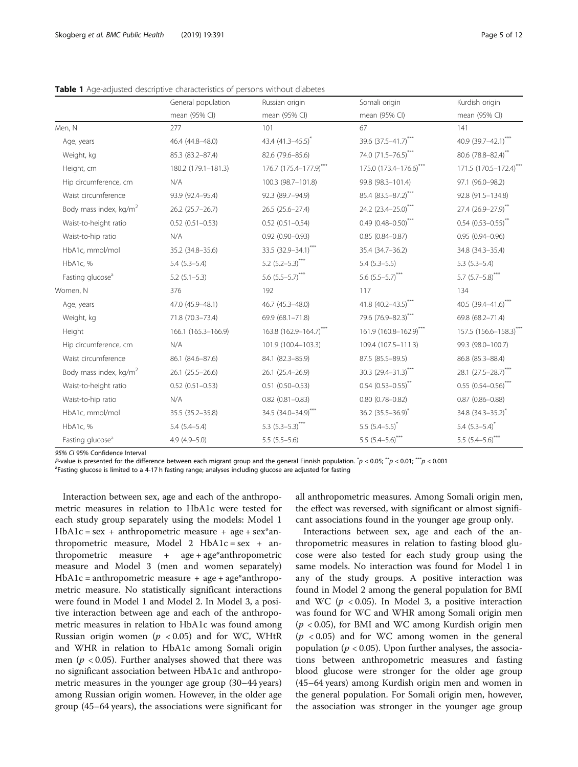|                                    | General population  | Russian origin         | Somali origin               | Kurdish origin                    |
|------------------------------------|---------------------|------------------------|-----------------------------|-----------------------------------|
|                                    | mean (95% CI)       | mean (95% CI)          | mean (95% CI)               | mean (95% CI)                     |
| Men, N                             | 277                 | 101                    | 67                          | 141                               |
| Age, years                         | 46.4 (44.8-48.0)    | 43.4 (41.3-45.5)*      | 39.6 (37.5-41.7)***         | 40.9 (39.7-42.1)***               |
| Weight, kg                         | 85.3 (83.2-87.4)    | 82.6 (79.6-85.6)       | 74.0 (71.5-76.5)***         | 80.6 (78.8-82.4)**                |
| Height, cm                         | 180.2 (179.1-181.3) | 176.7 (175.4-177.9)*** | 175.0 (173.4-176.6)***      | 171.5 (170.5-172.4)***            |
| Hip circumference, cm              | N/A                 | 100.3 (98.7-101.8)     | 99.8 (98.3-101.4)           | 97.1 (96.0-98.2)                  |
| Waist circumference                | 93.9 (92.4-95.4)    | 92.3 (89.7-94.9)       | 85.4 (83.5-87.2)***         | 92.8 (91.5-134.8)                 |
| Body mass index, kg/m <sup>2</sup> | 26.2 (25.7-26.7)    | 26.5 (25.6-27.4)       | 24.2 (23.4-25.0)***         | 27.4 (26.9-27.9)**                |
| Waist-to-height ratio              | $0.52(0.51 - 0.53)$ | $0.52$ $(0.51 - 0.54)$ | $0.49(0.48 - 0.50)$ ***     | $0.54$ $(0.53 - 0.55)^{**}$       |
| Waist-to-hip ratio                 | N/A                 | $0.92(0.90 - 0.93)$    | $0.85(0.84 - 0.87)$         | $0.95(0.94 - 0.96)$               |
| HbA1c, mmol/mol                    | 35.2 (34.8-35.6)    | 33.5 (32.9-34.1)***    | 35.4 (34.7-36.2)            | 34.8 (34.3-35.4)                  |
| HbA1c, %                           | $5.4(5.3-5.4)$      | 5.2 $(5.2-5.3)$ ***    | $5.4$ $(5.3-5.5)$           | $5.3(5.3-5.4)$                    |
| Fasting glucose <sup>a</sup>       | $5.2$ $(5.1-5.3)$   | 5.6 $(5.5-5.7)$ ***    | 5.6 $(5.5-5.7)$ ***         | 5.7 $(5.7-5.8)$ ***               |
| Women, N                           | 376                 | 192                    | 117                         | 134                               |
| Age, years                         | 47.0 (45.9-48.1)    | 46.7 (45.3-48.0)       | 41.8 $(40.2 - 43.5)^{***}$  | 40.5 $(39.4 - 41.6)$ ***          |
| Weight, kg                         | 71.8 (70.3-73.4)    | 69.9 (68.1-71.8)       | 79.6 (76.9-82.3)***         | 69.8 (68.2-71.4)                  |
| Height                             | 166.1 (165.3-166.9) | 163.8 (162.9-164.7)*** | 161.9 (160.8-162.9)***      | 157.5 (156.6-158.3)***            |
| Hip circumference, cm              | N/A                 | 101.9 (100.4-103.3)    | 109.4 (107.5-111.3)         | 99.3 (98.0-100.7)                 |
| Waist circumference                | 86.1 (84.6-87.6)    | 84.1 (82.3-85.9)       | 87.5 (85.5-89.5)            | 86.8 (85.3-88.4)                  |
| Body mass index, kg/m <sup>2</sup> | $26.1(25.5-26.6)$   | 26.1 (25.4-26.9)       | 30.3 $(29.4 - 31.3)^{***}$  | 28.1 (27.5-28.7)***               |
| Waist-to-height ratio              | $0.52(0.51 - 0.53)$ | $0.51(0.50 - 0.53)$    | $0.54$ $(0.53 - 0.55)^{**}$ | $0.55$ (0.54-0.56) <sup>***</sup> |
| Waist-to-hip ratio                 | N/A                 | $0.82$ $(0.81 - 0.83)$ | $0.80(0.78 - 0.82)$         | $0.87$ (0.86-0.88)                |
| HbA1c, mmol/mol                    | 35.5 (35.2-35.8)    | 34.5 (34.0-34.9)***    | 36.2 $(35.5 - 36.9)^{*}$    | $34.8$ (34.3-35.2) <sup>*</sup>   |
| HbA1c, %                           | $5.4(5.4-5.4)$      | 5.3 $(5.3-5.3)$ ***    | 5.5 $(5.4-5.5)^*$           | 5.4 $(5.3 - 5.4)^*$               |
| Fasting glucose <sup>a</sup>       | $4.9(4.9 - 5.0)$    | $5.5(5.5-5.6)$         | 5.5 $(5.4-5.6)$ ***         | 5.5 $(5.4 - 5.6)$ ***             |

<span id="page-4-0"></span>Table 1 Age-adjusted descriptive characteristics of persons without diabetes

95% CI 95% Confidence Interval

P-value is presented for the difference between each migrant group and the general Finnish population.  $\dot{p}$  < 0.05;  $\dot{p}$  < 0.01;  $\dot{p}$  < 0.001

<sup>a</sup>Fasting glucose is limited to a 4-17 h fasting range; analyses including glucose are adjusted for fasting

Interaction between sex, age and each of the anthropometric measures in relation to HbA1c were tested for each study group separately using the models: Model 1  $HbA1c = sex + anthropometric measure + age + sex*an$ thropometric measure, Model 2  $HbA1c = sex + an$ thropometric measure + age + age\*anthropometric measure and Model 3 (men and women separately)  $HbA1c = anthropometric measure + age + age*anthropo$ metric measure. No statistically significant interactions were found in Model 1 and Model 2. In Model 3, a positive interaction between age and each of the anthropometric measures in relation to HbA1c was found among Russian origin women ( $p < 0.05$ ) and for WC, WHtR and WHR in relation to HbA1c among Somali origin men ( $p < 0.05$ ). Further analyses showed that there was no significant association between HbA1c and anthropometric measures in the younger age group (30–44 years) among Russian origin women. However, in the older age group (45–64 years), the associations were significant for

all anthropometric measures. Among Somali origin men, the effect was reversed, with significant or almost significant associations found in the younger age group only.

Interactions between sex, age and each of the anthropometric measures in relation to fasting blood glucose were also tested for each study group using the same models. No interaction was found for Model 1 in any of the study groups. A positive interaction was found in Model 2 among the general population for BMI and WC ( $p < 0.05$ ). In Model 3, a positive interaction was found for WC and WHR among Somali origin men  $(p < 0.05)$ , for BMI and WC among Kurdish origin men  $(p \lt 0.05)$  and for WC among women in the general population ( $p < 0.05$ ). Upon further analyses, the associations between anthropometric measures and fasting blood glucose were stronger for the older age group (45–64 years) among Kurdish origin men and women in the general population. For Somali origin men, however, the association was stronger in the younger age group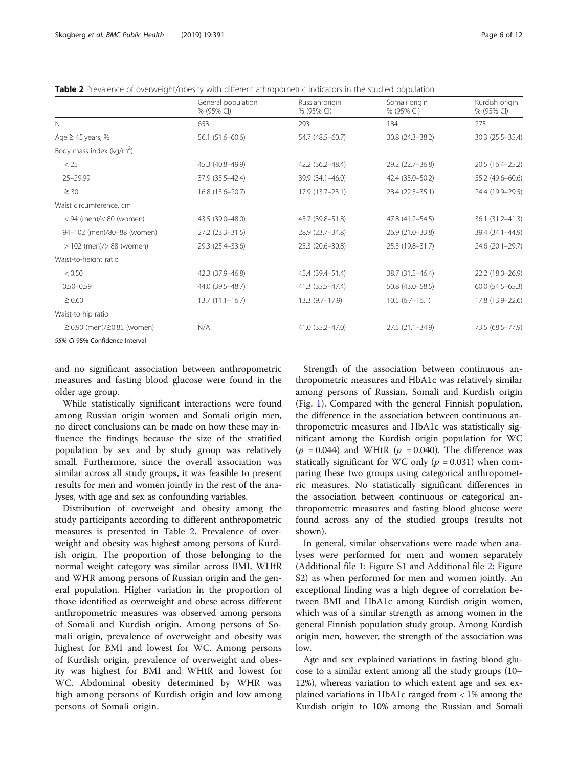<span id="page-5-0"></span>Table 2 Prevalence of overweight/obesity with different athropometric indicators in the studied population

|                                  | General population<br>% (95% CI) | Russian origin<br>% (95% CI) | Somali origin<br>% (95% CI) | Kurdish origin<br>% (95% CI) |
|----------------------------------|----------------------------------|------------------------------|-----------------------------|------------------------------|
| $\mathsf{N}$                     | 653                              | 293                          | 184                         | 275                          |
| Age $\geq$ 45 years, %           | 56.1 (51.6-60.6)                 | 54.7 (48.5-60.7)             | 30.8 (24.3-38.2)            | 30.3 (25.5-35.4)             |
| Body mass index ( $kg/m2$ )      |                                  |                              |                             |                              |
| < 25                             | 45.3 (40.8-49.9)                 | 42.2 (36.2-48.4)             | 29.2 (22.7-36.8)            | 20.5 (16.4-25.2)             |
| 25-29.99                         | 37.9 (33.5-42.4)                 | 39.9 (34.1-46.0)             | 42.4 (35.0-50.2)            | 55.2 (49.6-60.6)             |
| $\geq 30$                        | 16.8 (13.6-20.7)                 | $17.9(13.7 - 23.1)$          | 28.4 (22.5-35.1)            | 24.4 (19.9-29.5)             |
| Waist circumference, cm          |                                  |                              |                             |                              |
| $< 94$ (men)/ $< 80$ (women)     | 43.5 (39.0-48.0)                 | 45.7 (39.8-51.8)             | 47.8 (41.2-54.5)            | 36.1 (31.2-41.3)             |
| 94-102 (men)/80-88 (women)       | $27.2$ ( $23.3 - 31.5$ )         | 28.9 (23.7-34.8)             | 26.9 (21.0-33.8)            | 39.4 (34.1-44.9)             |
| $> 102$ (men)/ $> 88$ (women)    | 29.3 (25.4-33.6)                 | 25.3 (20.6-30.8)             | 25.3 (19.8-31.7)            | 24.6 (20.1-29.7)             |
| Waist-to-height ratio            |                                  |                              |                             |                              |
| < 0.50                           | 42.3 (37.9 - 46.8)               | 45.4 (39.4-51.4)             | 38.7 (31.5-46.4)            | 22.2 (18.0-26.9)             |
| $0.50 - 0.59$                    | 44.0 (39.5-48.7)                 | 41.3 (35.5-47.4)             | 50.8 (43.0-58.5)            | $60.0$ $(54.5 - 65.3)$       |
| $\geq 0.60$                      | $13.7(11.1-16.7)$                | $13.3(9.7-17.9)$             | $10.5(6.7-16.1)$            | 17.8 (13.9-22.6)             |
| Waist-to-hip ratio               |                                  |                              |                             |                              |
| $≥ 0.90$ (men)/ $≥ 0.85$ (women) | N/A                              | 41.0 (35.2–47.0)             | $27.5(21.1 - 34.9)$         | 73.5 (68.5 - 77.9)           |

and no significant association between anthropometric measures and fasting blood glucose were found in the older age group.

While statistically significant interactions were found among Russian origin women and Somali origin men, no direct conclusions can be made on how these may influence the findings because the size of the stratified population by sex and by study group was relatively small. Furthermore, since the overall association was similar across all study groups, it was feasible to present results for men and women jointly in the rest of the analyses, with age and sex as confounding variables.

Distribution of overweight and obesity among the study participants according to different anthropometric measures is presented in Table 2. Prevalence of overweight and obesity was highest among persons of Kurdish origin. The proportion of those belonging to the normal weight category was similar across BMI, WHtR and WHR among persons of Russian origin and the general population. Higher variation in the proportion of those identified as overweight and obese across different anthropometric measures was observed among persons of Somali and Kurdish origin. Among persons of Somali origin, prevalence of overweight and obesity was highest for BMI and lowest for WC. Among persons of Kurdish origin, prevalence of overweight and obesity was highest for BMI and WHtR and lowest for WC. Abdominal obesity determined by WHR was high among persons of Kurdish origin and low among persons of Somali origin.

Strength of the association between continuous anthropometric measures and HbA1c was relatively similar among persons of Russian, Somali and Kurdish origin (Fig. [1](#page-6-0)). Compared with the general Finnish population, the difference in the association between continuous anthropometric measures and HbA1c was statistically significant among the Kurdish origin population for WC  $(p = 0.044)$  and WHtR  $(p = 0.040)$ . The difference was statically significant for WC only ( $p = 0.031$ ) when comparing these two groups using categorical anthropometric measures. No statistically significant differences in the association between continuous or categorical anthropometric measures and fasting blood glucose were found across any of the studied groups (results not shown).

In general, similar observations were made when analyses were performed for men and women separately (Additional file [1:](#page-9-0) Figure S1 and Additional file [2](#page-9-0): Figure S2) as when performed for men and women jointly. An exceptional finding was a high degree of correlation between BMI and HbA1c among Kurdish origin women, which was of a similar strength as among women in the general Finnish population study group. Among Kurdish origin men, however, the strength of the association was low.

Age and sex explained variations in fasting blood glucose to a similar extent among all the study groups (10– 12%), whereas variation to which extent age and sex explained variations in HbA1c ranged from < 1% among the Kurdish origin to 10% among the Russian and Somali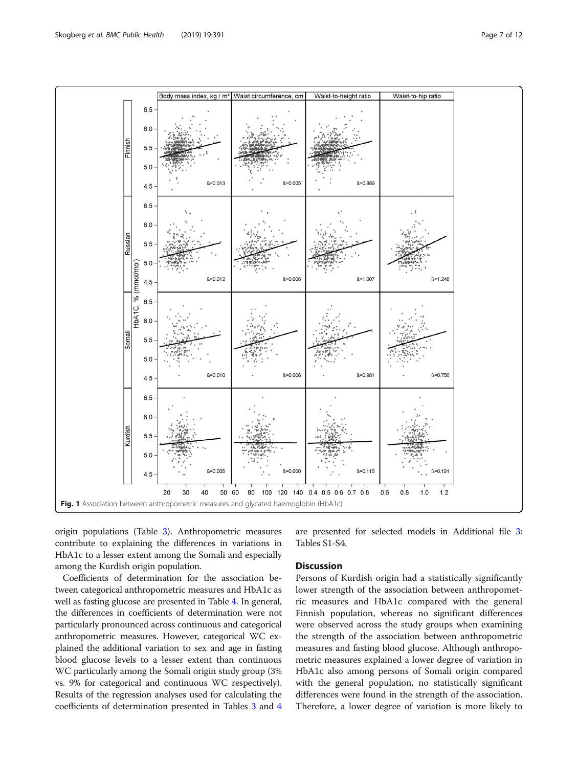<span id="page-6-0"></span>

origin populations (Table [3](#page-7-0)). Anthropometric measures contribute to explaining the differences in variations in HbA1c to a lesser extent among the Somali and especially among the Kurdish origin population.

Coefficients of determination for the association between categorical anthropometric measures and HbA1c as well as fasting glucose are presented in Table [4.](#page-7-0) In general, the differences in coefficients of determination were not particularly pronounced across continuous and categorical anthropometric measures. However, categorical WC explained the additional variation to sex and age in fasting blood glucose levels to a lesser extent than continuous WC particularly among the Somali origin study group (3% vs. 9% for categorical and continuous WC respectively). Results of the regression analyses used for calculating the coefficients of determination presented in Tables [3](#page-7-0) and [4](#page-7-0) are presented for selected models in Additional file [3](#page-9-0): Tables S1-S4.

## Discussion

Persons of Kurdish origin had a statistically significantly lower strength of the association between anthropometric measures and HbA1c compared with the general Finnish population, whereas no significant differences were observed across the study groups when examining the strength of the association between anthropometric measures and fasting blood glucose. Although anthropometric measures explained a lower degree of variation in HbA1c also among persons of Somali origin compared with the general population, no statistically significant differences were found in the strength of the association. Therefore, a lower degree of variation is more likely to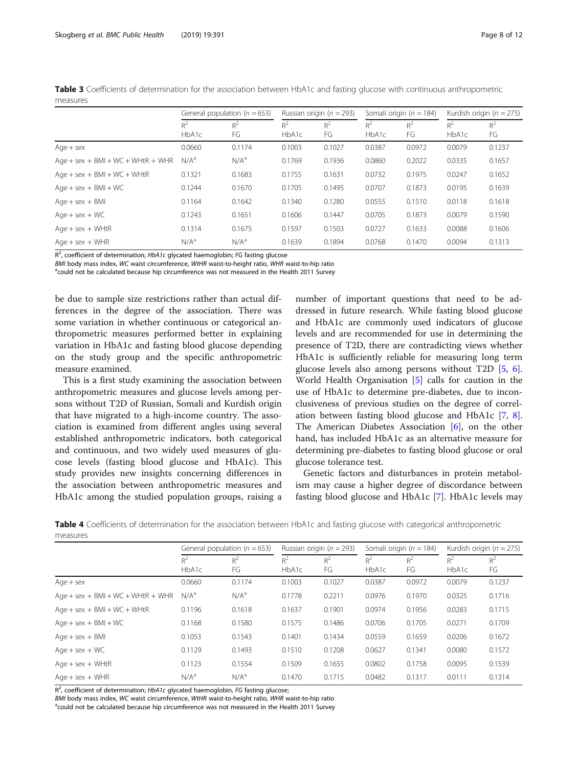|                                     | General population ( $n = 653$ ) |             | Russian origin ( $n = 293$ ) |             | Somali origin ( $n = 184$ ) |             | Kurdish origin ( $n = 275$ ) |             |
|-------------------------------------|----------------------------------|-------------|------------------------------|-------------|-----------------------------|-------------|------------------------------|-------------|
|                                     | $R^2$<br>HbA1c                   | $R^2$<br>FG | $R^2$<br>HbA1c               | $R^2$<br>FG | $R^2$<br>HbA <sub>1</sub> c | $R^2$<br>FG | $R^2$<br>HbA <sub>1</sub> c  | $R^2$<br>FG |
| $Aqe + sex$                         | 0.0660                           | 0.1174      | 0.1003                       | 0.1027      | 0.0387                      | 0.0972      | 0.0079                       | 0.1237      |
| Age + sex + $BMI + WC + WHtR + WHR$ | N/A <sup>a</sup>                 | $N/A^a$     | 0.1769                       | 0.1936      | 0.0860                      | 0.2022      | 0.0335                       | 0.1657      |
| $Age + sex + BMI + WC + WHK$        | 0.1321                           | 0.1683      | 0.1755                       | 0.1631      | 0.0732                      | 0.1975      | 0.0247                       | 0.1652      |
| $Age + sex + BMI + WC$              | 0.1244                           | 0.1670      | 0.1705                       | 0.1495      | 0.0707                      | 0.1873      | 0.0195                       | 0.1639      |
| $Age + sex + BMI$                   | 0.1164                           | 0.1642      | 0.1340                       | 0.1280      | 0.0555                      | 0.1510      | 0.0118                       | 0.1618      |
| $Aqe + sex + WC$                    | 0.1243                           | 0.1651      | 0.1606                       | 0.1447      | 0.0705                      | 0.1873      | 0.0079                       | 0.1590      |
| $Aqe + sex + WHtR$                  | 0.1314                           | 0.1675      | 0.1597                       | 0.1503      | 0.0727                      | 0.1633      | 0.0088                       | 0.1606      |
| $Aae + sex + WHR$                   | N/A <sup>a</sup>                 | $N/A^a$     | 0.1639                       | 0.1894      | 0.0768                      | 0.1470      | 0.0094                       | 0.1313      |

<span id="page-7-0"></span>Table 3 Coefficients of determination for the association between HbA1c and fasting glucose with continuous anthropometric measures

R<sup>2</sup>, coefficient of determination; HbA1c glycated haemoglobin; FG fasting glucose

BMI body mass index, WC waist circumference, WtHR waist-to-height ratio, WHR waist-to-hip ratio

 $^{\text{a}}$ could not be calculated because hip circumference was not measured in the Health 2011 Survey

be due to sample size restrictions rather than actual differences in the degree of the association. There was some variation in whether continuous or categorical anthropometric measures performed better in explaining variation in HbA1c and fasting blood glucose depending on the study group and the specific anthropometric measure examined.

This is a first study examining the association between anthropometric measures and glucose levels among persons without T2D of Russian, Somali and Kurdish origin that have migrated to a high-income country. The association is examined from different angles using several established anthropometric indicators, both categorical and continuous, and two widely used measures of glucose levels (fasting blood glucose and HbA1c). This study provides new insights concerning differences in the association between anthropometric measures and HbA1c among the studied population groups, raising a number of important questions that need to be addressed in future research. While fasting blood glucose and HbA1c are commonly used indicators of glucose levels and are recommended for use in determining the presence of T2D, there are contradicting views whether HbA1c is sufficiently reliable for measuring long term glucose levels also among persons without T2D [[5,](#page-10-0) [6](#page-10-0)]. World Health Organisation [[5\]](#page-10-0) calls for caution in the use of HbA1c to determine pre-diabetes, due to inconclusiveness of previous studies on the degree of correlation between fasting blood glucose and HbA1c [[7,](#page-10-0) [8](#page-10-0)]. The American Diabetes Association [\[6](#page-10-0)], on the other hand, has included HbA1c as an alternative measure for determining pre-diabetes to fasting blood glucose or oral glucose tolerance test.

Genetic factors and disturbances in protein metabolism may cause a higher degree of discordance between fasting blood glucose and HbA1c [[7\]](#page-10-0). HbA1c levels may

| Table 4 Coefficients of determination for the association between HbA1c and fasting glucose with categorical anthropometric |  |  |  |  |  |  |
|-----------------------------------------------------------------------------------------------------------------------------|--|--|--|--|--|--|
| measures                                                                                                                    |  |  |  |  |  |  |

|                                     | General population ( $n = 653$ ) |             | Russian origin ( $n = 293$ ) |             | Somali origin ( $n = 184$ ) |             | Kurdish origin ( $n = 275$ ) |             |
|-------------------------------------|----------------------------------|-------------|------------------------------|-------------|-----------------------------|-------------|------------------------------|-------------|
|                                     | $R^2$<br>HbA1c                   | $R^2$<br>FG | $R^2$<br>HbA1c               | $R^2$<br>FG | $R^2$<br>HbA1c              | $R^2$<br>FG | $R^2$<br>HbA <sub>1</sub> c  | $R^2$<br>FG |
| $Age + sex$                         | 0.0660                           | 0.1174      | 0.1003                       | 0.1027      | 0.0387                      | 0.0972      | 0.0079                       | 0.1237      |
| Age + sex + $BMI + WC + WHtR + WHR$ | N/A <sup>a</sup>                 | $N/A^a$     | 0.1778                       | 0.2211      | 0.0976                      | 0.1970      | 0.0325                       | 0.1716      |
| Age + sex + $BMI + WC + WHtR$       | 0.1196                           | 0.1618      | 0.1637                       | 0.1901      | 0.0974                      | 0.1956      | 0.0283                       | 0.1715      |
| $Age + sex + BMI + WC$              | 0.1168                           | 0.1580      | 0.1575                       | 0.1486      | 0.0706                      | 0.1705      | 0.0271                       | 0.1709      |
| $Aqe + sex + BMI$                   | 0.1053                           | 0.1543      | 0.1401                       | 0.1434      | 0.0559                      | 0.1659      | 0.0206                       | 0.1672      |
| $Aqe + sex + WC$                    | 0.1129                           | 0.1493      | 0.1510                       | 0.1208      | 0.0627                      | 0.1341      | 0.0080                       | 0.1572      |
| $Age + sex + WHK$                   | 0.1123                           | 0.1554      | 0.1509                       | 0.1655      | 0.0802                      | 0.1758      | 0.0095                       | 0.1539      |
| $Age + sex + WHR$                   | N/A <sup>a</sup>                 | $N/A^a$     | 0.1470                       | 0.1715      | 0.0482                      | 0.1317      | 0.0111                       | 0.1314      |

 $R^2$ , coefficient of determination; HbA1c glycated haemoglobin, FG fasting glucose;

BMI body mass index, WC waist circumference, WtHR waist-to-height ratio, WHR waist-to-hip ratio

<sup>a</sup>could not be calculated because hip circumference was not measured in the Health 2011 Survey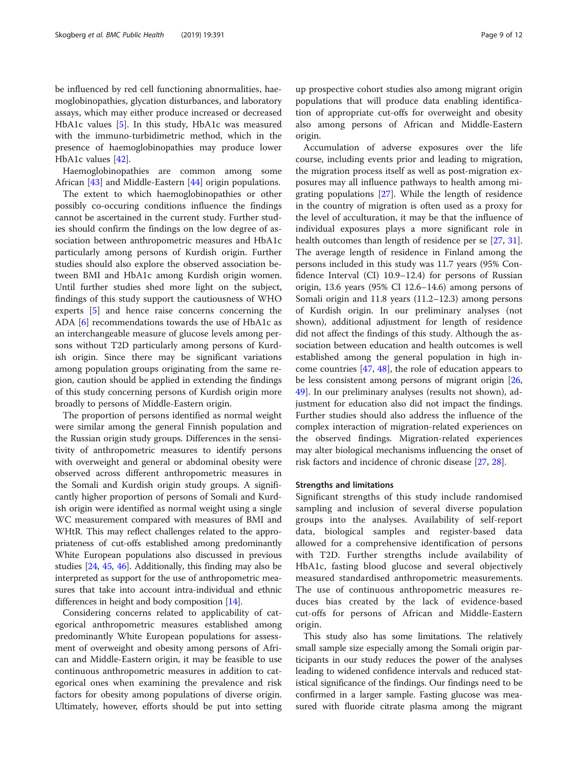be influenced by red cell functioning abnormalities, haemoglobinopathies, glycation disturbances, and laboratory assays, which may either produce increased or decreased HbA1c values [[5\]](#page-10-0). In this study, HbA1c was measured with the immuno-turbidimetric method, which in the presence of haemoglobinopathies may produce lower HbA1c values [[42\]](#page-11-0).

Haemoglobinopathies are common among some African [\[43\]](#page-11-0) and Middle-Eastern [\[44](#page-11-0)] origin populations.

The extent to which haemoglobinopathies or other possibly co-occuring conditions influence the findings cannot be ascertained in the current study. Further studies should confirm the findings on the low degree of association between anthropometric measures and HbA1c particularly among persons of Kurdish origin. Further studies should also explore the observed association between BMI and HbA1c among Kurdish origin women. Until further studies shed more light on the subject, findings of this study support the cautiousness of WHO experts [\[5](#page-10-0)] and hence raise concerns concerning the ADA [[6\]](#page-10-0) recommendations towards the use of HbA1c as an interchangeable measure of glucose levels among persons without T2D particularly among persons of Kurdish origin. Since there may be significant variations among population groups originating from the same region, caution should be applied in extending the findings of this study concerning persons of Kurdish origin more broadly to persons of Middle-Eastern origin.

The proportion of persons identified as normal weight were similar among the general Finnish population and the Russian origin study groups. Differences in the sensitivity of anthropometric measures to identify persons with overweight and general or abdominal obesity were observed across different anthropometric measures in the Somali and Kurdish origin study groups. A significantly higher proportion of persons of Somali and Kurdish origin were identified as normal weight using a single WC measurement compared with measures of BMI and WHtR. This may reflect challenges related to the appropriateness of cut-offs established among predominantly White European populations also discussed in previous studies [[24](#page-10-0), [45](#page-11-0), [46](#page-11-0)]. Additionally, this finding may also be interpreted as support for the use of anthropometric measures that take into account intra-individual and ethnic differences in height and body composition [\[14\]](#page-10-0).

Considering concerns related to applicability of categorical anthropometric measures established among predominantly White European populations for assessment of overweight and obesity among persons of African and Middle-Eastern origin, it may be feasible to use continuous anthropometric measures in addition to categorical ones when examining the prevalence and risk factors for obesity among populations of diverse origin. Ultimately, however, efforts should be put into setting

up prospective cohort studies also among migrant origin populations that will produce data enabling identification of appropriate cut-offs for overweight and obesity also among persons of African and Middle-Eastern origin.

Accumulation of adverse exposures over the life course, including events prior and leading to migration, the migration process itself as well as post-migration exposures may all influence pathways to health among migrating populations [[27\]](#page-10-0). While the length of residence in the country of migration is often used as a proxy for the level of acculturation, it may be that the influence of individual exposures plays a more significant role in health outcomes than length of residence per se [\[27](#page-10-0), [31](#page-10-0)]. The average length of residence in Finland among the persons included in this study was 11.7 years (95% Confidence Interval (CI) 10.9–12.4) for persons of Russian origin, 13.6 years (95% CI 12.6–14.6) among persons of Somali origin and 11.8 years (11.2–12.3) among persons of Kurdish origin. In our preliminary analyses (not shown), additional adjustment for length of residence did not affect the findings of this study. Although the association between education and health outcomes is well established among the general population in high income countries [\[47,](#page-11-0) [48\]](#page-11-0), the role of education appears to be less consistent among persons of migrant origin [[26](#page-10-0), [49\]](#page-11-0). In our preliminary analyses (results not shown), adjustment for education also did not impact the findings. Further studies should also address the influence of the complex interaction of migration-related experiences on the observed findings. Migration-related experiences may alter biological mechanisms influencing the onset of risk factors and incidence of chronic disease [\[27,](#page-10-0) [28\]](#page-10-0).

### Strengths and limitations

Significant strengths of this study include randomised sampling and inclusion of several diverse population groups into the analyses. Availability of self-report data, biological samples and register-based data allowed for a comprehensive identification of persons with T2D. Further strengths include availability of HbA1c, fasting blood glucose and several objectively measured standardised anthropometric measurements. The use of continuous anthropometric measures reduces bias created by the lack of evidence-based cut-offs for persons of African and Middle-Eastern origin.

This study also has some limitations. The relatively small sample size especially among the Somali origin participants in our study reduces the power of the analyses leading to widened confidence intervals and reduced statistical significance of the findings. Our findings need to be confirmed in a larger sample. Fasting glucose was measured with fluoride citrate plasma among the migrant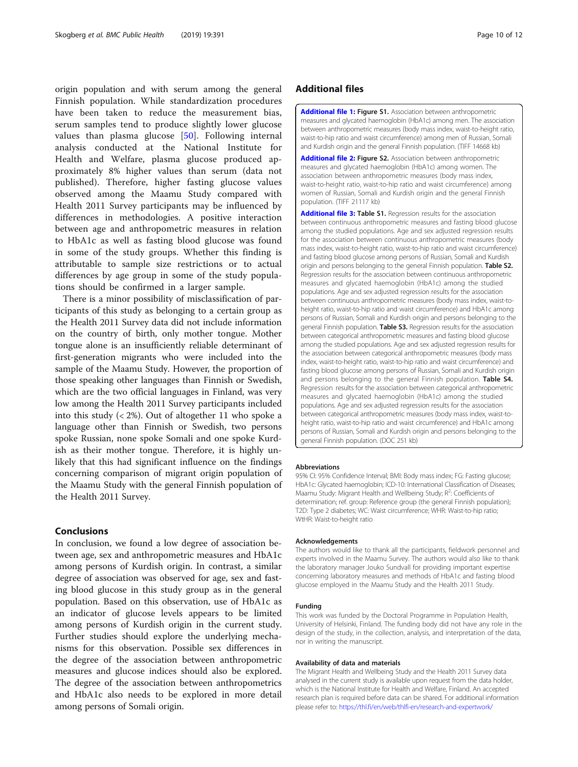<span id="page-9-0"></span>origin population and with serum among the general Finnish population. While standardization procedures have been taken to reduce the measurement bias, serum samples tend to produce slightly lower glucose values than plasma glucose [\[50](#page-11-0)]. Following internal analysis conducted at the National Institute for Health and Welfare, plasma glucose produced approximately 8% higher values than serum (data not published). Therefore, higher fasting glucose values observed among the Maamu Study compared with Health 2011 Survey participants may be influenced by differences in methodologies. A positive interaction between age and anthropometric measures in relation to HbA1c as well as fasting blood glucose was found in some of the study groups. Whether this finding is attributable to sample size restrictions or to actual differences by age group in some of the study populations should be confirmed in a larger sample.

There is a minor possibility of misclassification of participants of this study as belonging to a certain group as the Health 2011 Survey data did not include information on the country of birth, only mother tongue. Mother tongue alone is an insufficiently reliable determinant of first-generation migrants who were included into the sample of the Maamu Study. However, the proportion of those speaking other languages than Finnish or Swedish, which are the two official languages in Finland, was very low among the Health 2011 Survey participants included into this study  $\left( < 2\% \right)$ . Out of altogether 11 who spoke a language other than Finnish or Swedish, two persons spoke Russian, none spoke Somali and one spoke Kurdish as their mother tongue. Therefore, it is highly unlikely that this had significant influence on the findings concerning comparison of migrant origin population of the Maamu Study with the general Finnish population of the Health 2011 Survey.

## Conclusions

In conclusion, we found a low degree of association between age, sex and anthropometric measures and HbA1c among persons of Kurdish origin. In contrast, a similar degree of association was observed for age, sex and fasting blood glucose in this study group as in the general population. Based on this observation, use of HbA1c as an indicator of glucose levels appears to be limited among persons of Kurdish origin in the current study. Further studies should explore the underlying mechanisms for this observation. Possible sex differences in the degree of the association between anthropometric measures and glucose indices should also be explored. The degree of the association between anthropometrics and HbA1c also needs to be explored in more detail among persons of Somali origin.

## Additional files

[Additional file 1:](https://doi.org/10.1186/s12889-019-6698-0) Figure S1. Association between anthropometric measures and glycated haemoglobin (HbA1c) among men. The association between anthropometric measures (body mass index, waist-to-height ratio, waist-to-hip ratio and waist circumference) among men of Russian, Somali and Kurdish origin and the general Finnish population. (TIFF 14668 kb)

[Additional file 2:](https://doi.org/10.1186/s12889-019-6698-0) Figure S2. Association between anthropometric measures and glycated haemoglobin (HbA1c) among women. The association between anthropometric measures (body mass index, waist-to-height ratio, waist-to-hip ratio and waist circumference) among women of Russian, Somali and Kurdish origin and the general Finnish population. (TIFF 21117 kb)

[Additional file 3:](https://doi.org/10.1186/s12889-019-6698-0) Table S1. Regression results for the association between continuous anthropometric measures and fasting blood glucose among the studied populations. Age and sex adjusted regression results for the association between continuous anthropometric measures (body mass index, waist-to-height ratio, waist-to-hip ratio and waist circumference) and fasting blood glucose among persons of Russian, Somali and Kurdish origin and persons belonging to the general Finnish population. Table S2. Regression results for the association between continuous anthropometric measures and glycated haemoglobin (HbA1c) among the studied populations. Age and sex adjusted regression results for the association between continuous anthropometric measures (body mass index, waist-toheight ratio, waist-to-hip ratio and waist circumference) and HbA1c among persons of Russian, Somali and Kurdish origin and persons belonging to the general Finnish population. Table S3. Regression results for the association between categorical anthropometric measures and fasting blood glucose among the studied populations. Age and sex adjusted regression results for the association between categorical anthropometric measures (body mass index, waist-to-height ratio, waist-to-hip ratio and waist circumference) and fasting blood glucose among persons of Russian, Somali and Kurdish origin and persons belonging to the general Finnish population. Table S4. Regression results for the association between categorical anthropometric measures and glycated haemoglobin (HbA1c) among the studied populations. Age and sex adjusted regression results for the association between categorical anthropometric measures (body mass index, waist-toheight ratio, waist-to-hip ratio and waist circumference) and HbA1c among persons of Russian, Somali and Kurdish origin and persons belonging to the general Finnish population. (DOC 251 kb)

#### Abbreviations

95% CI: 95% Confidence Interval; BMI: Body mass index; FG: Fasting glucose; HbA1c: Glycated haemoglobin; ICD-10: International Classification of Diseases; Maamu Study: Migrant Health and Wellbeing Study; R<sup>2</sup>: Coefficients of determination; ref. group: Reference group (the general Finnish population); T2D: Type 2 diabetes; WC: Waist circumference; WHR: Waist-to-hip ratio; WtHR: Waist-to-height ratio

#### Acknowledgements

The authors would like to thank all the participants, fieldwork personnel and experts involved in the Maamu Survey. The authors would also like to thank the laboratory manager Jouko Sundvall for providing important expertise concerning laboratory measures and methods of HbA1c and fasting blood glucose employed in the Maamu Study and the Health 2011 Study.

#### Funding

This work was funded by the Doctoral Programme in Population Health, University of Helsinki, Finland. The funding body did not have any role in the design of the study, in the collection, analysis, and interpretation of the data, nor in writing the manuscript.

#### Availability of data and materials

The Migrant Health and Wellbeing Study and the Health 2011 Survey data analysed in the current study is available upon request from the data holder, which is the National Institute for Health and Welfare, Finland. An accepted research plan is required before data can be shared. For additional information please refer to: [https://thl.fi/en/web/thlfi-en/research-and-expertwork/](https://thl.fi/en/web/thlfi-en/research-and-expertwork/population-studies/migrant-health-and-wellbeing-study-maamu-/information-for-researchers)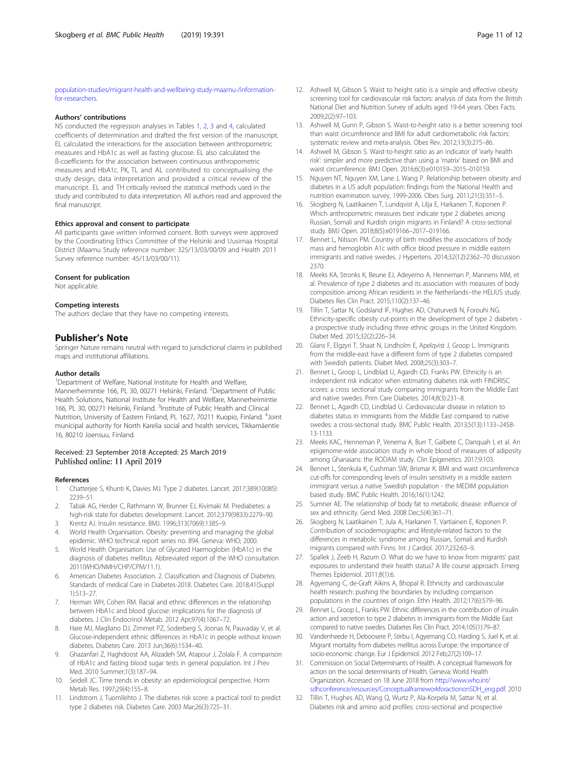<span id="page-10-0"></span>[population-studies/migrant-health-and-wellbeing-study-maamu-/information](https://thl.fi/en/web/thlfi-en/research-and-expertwork/population-studies/migrant-health-and-wellbeing-study-maamu-/information-for-researchers)[for-researchers](https://thl.fi/en/web/thlfi-en/research-and-expertwork/population-studies/migrant-health-and-wellbeing-study-maamu-/information-for-researchers).

### Authors' contributions

NS conducted the regression analyses in Tables [1](#page-4-0), [2](#page-5-0), [3](#page-7-0) and [4,](#page-7-0) calculated coefficients of determination and drafted the first version of the manuscript. EL calculated the interactions for the association between anthropometric measures and HbA1c as well as fasting glucose. EL also calculated the ß-coefficients for the association between continuous anthropometric measures and HbA1c. PK, TL and AL contributed to conceptualising the study design, data interpretation and provided a critical review of the manuscript. EL and TH critically revised the statistical methods used in the study and contributed to data interpretation. All authors read and approved the final manuscript.

#### Ethics approval and consent to participate

All participants gave written informed consent. Both surveys were approved by the Coordinating Ethics Committee of the Helsinki and Uusimaa Hospital District (Maamu Study reference number: 325/13/03/00/09 and Health 2011 Survey reference number: 45/13/03/00/11).

## Consent for publication

Not applicable.

## Competing interests

The authors declare that they have no competing interests.

## Publisher's Note

Springer Nature remains neutral with regard to jurisdictional claims in published maps and institutional affiliations.

#### Author details

<sup>1</sup>Department of Welfare, National Institute for Health and Welfare, Mannerheimintie 166, PL 30, 00271 Helsinki, Finland. <sup>2</sup>Department of Public Health Solutions, National Institute for Health and Welfare, Mannerheimintie 166, PL 30, 00271 Helsinki, Finland. <sup>3</sup>Institute of Public Health and Clinical Nutrition, University of Eastern Finland, PL 1627, 70211 Kuopio, Finland. <sup>4</sup>Joint municipal authority for North Karelia social and health services, Tikkamäentie 16, 80210 Joensuu, Finland.

### Received: 23 September 2018 Accepted: 25 March 2019 Published online: 11 April 2019

#### References

- 1. Chatterjee S, Khunti K, Davies MJ. Type 2 diabetes. Lancet. 2017;389(10085): 2239–51.
- 2. Tabak AG, Herder C, Rathmann W, Brunner EJ, Kivimaki M. Prediabetes: a high-risk state for diabetes development. Lancet. 2012;379(9833):2279–90.
- 3. Krentz AJ. Insulin resistance. BMJ. 1996;313(7069):1385–9. 4. World Health Organisation. Obesity: preventing and managing the global
- epidemic. WHO technical report series no. 894. Geneva: WHO; 2000. 5. World Health Organisation. Use of Glycated Haemoglobin (HbA1c) in the
- diagnosis of diabetes mellitus. Abbreviated report of the WHO consultation 2011(WHO/NMH/CHP/CPM/11.1).
- 6. American Diabetes Association. 2. Classification and Diagnosis of Diabetes. Standards of medical Care in Diabetes-2018. Diabetes Care. 2018;41(Suppl 1):S13–27.
- 7. Herman WH, Cohen RM. Racial and ethnic differences in the relationship between HbA1c and blood glucose: implications for the diagnosis of diabetes. J Clin Endocrinol Metab. 2012 Apr;97(4):1067–72.
- Hare MJ, Magliano DJ, Zimmet PZ, Soderberg S, Joonas N, Pauvaday V, et al. Glucose-independent ethnic differences in HbA1c in people without known diabetes. Diabetes Care. 2013 Jun;36(6):1534–40.
- 9. Ghazanfari Z, Haghdoost AA, Alizadeh SM, Atapour J, Zolala F. A comparison of HbA1c and fasting blood sugar tests in general population. Int J Prev Med. 2010 Summer;1(3):187–94.
- 10. Seidell JC. Time trends in obesity: an epidemiological perspective. Horm Metab Res. 1997;29(4):155–8.
- 11. Lindstrom J, Tuomilehto J. The diabetes risk score: a practical tool to predict type 2 diabetes risk. Diabetes Care. 2003 Mar;26(3):725–31.
- 12. Ashwell M, Gibson S. Waist to height ratio is a simple and effective obesity screening tool for cardiovascular risk factors: analysis of data from the British National Diet and Nutrition Survey of adults aged 19-64 years. Obes Facts. 2009;2(2):97–103.
- 13. Ashwell M, Gunn P, Gibson S. Waist-to-height ratio is a better screening tool than waist circumference and BMI for adult cardiometabolic risk factors: systematic review and meta-analysis. Obes Rev. 2012;13(3):275–86.
- 14. Ashwell M, Gibson S. Waist-to-height ratio as an indicator of 'early health risk': simpler and more predictive than using a 'matrix' based on BMI and waist circumference. BMJ Open. 2016;6(3):e010159–2015–010159.
- 15. Nguyen NT, Nguyen XM, Lane J, Wang P. Relationship between obesity and diabetes in a US adult population: findings from the National Health and nutrition examination survey, 1999-2006. Obes Surg. 2011;21(3):351–5.
- 16. Skogberg N, Laatikainen T, Lundqvist A, Lilja E, Harkanen T, Koponen P. Which anthropometric measures best indicate type 2 diabetes among Russian, Somali and Kurdish origin migrants in Finland? A cross-sectional study. BMJ Open. 2018;8(5):e019166–2017–019166.
- 17. Bennet L, Nilsson PM. Country of birth modifies the associations of body mass and hemoglobin A1c with office blood pressure in middle eastern immigrants and native swedes. J Hypertens. 2014;32(12):2362–70 discussion 2370.
- 18. Meeks KA, Stronks K, Beune EJ, Adeyemo A, Henneman P, Mannens MM, et al. Prevalence of type 2 diabetes and its association with measures of body composition among African residents in the Netherlands--the HELIUS study. Diabetes Res Clin Pract. 2015;110(2):137–46.
- 19. Tillin T, Sattar N, Godsland IF, Hughes AD, Chaturvedi N, Forouhi NG. Ethnicity-specific obesity cut-points in the development of type 2 diabetes a prospective study including three ethnic groups in the United Kingdom. Diabet Med. 2015;32(2):226–34.
- 20. Glans F, Elgzyri T, Shaat N, Lindholm E, Apelqvist J, Groop L. Immigrants from the middle-east have a different form of type 2 diabetes compared with Swedish patients. Diabet Med. 2008;25(3):303–7.
- 21. Bennet L, Groop L, Lindblad U, Agardh CD, Franks PW. Ethnicity is an independent risk indicator when estimating diabetes risk with FINDRISC scores: a cross sectional study comparing immigrants from the Middle East and native swedes. Prim Care Diabetes. 2014;8(3):231–8.
- 22. Bennet L, Agardh CD, Lindblad U. Cardiovascular disease in relation to diabetes status in immigrants from the Middle East compared to native swedes: a cross-sectional study. BMC Public Health. 2013;5(13):1133–2458- 13-1133.
- 23. Meeks KAC, Henneman P, Venema A, Burr T, Galbete C, Danquah I, et al. An epigenome-wide association study in whole blood of measures of adiposity among Ghanaians: the RODAM study. Clin Epigenetics. 2017;9:103.
- 24. Bennet L, Stenkula K, Cushman SW, Brismar K. BMI and waist circumference cut-offs for corresponding levels of insulin sensitivity in a middle eastern immigrant versus a native Swedish population - the MEDIM population based study. BMC Public Health. 2016;16(1):1242.
- 25. Sumner AE. The relationship of body fat to metabolic disease: influence of sex and ethnicity. Gend Med. 2008 Dec;5(4):361–71.
- 26. Skogberg N, Laatikainen T, Jula A, Harkanen T, Vartiainen E, Koponen P. Contribution of sociodemographic and lifestyle-related factors to the differences in metabolic syndrome among Russian, Somali and Kurdish migrants compared with Finns. Int J Cardiol. 2017;232:63–9.
- 27. Spallek J, Zeeb H, Razum O. What do we have to know from migrants' past exposures to understand their health status? A life course approach. Emerg Themes Epidemiol. 2011;8(1):6.
- 28. Agyemang C, de-Graft Aikins A, Bhopal R. Ethnicity and cardiovascular health research: pushing the boundaries by including comparison populations in the countries of origin. Ethn Health. 2012;17(6):579–96.
- 29. Bennet L, Groop L, Franks PW. Ethnic differences in the contribution of insulin action and secretion to type 2 diabetes in immigrants from the Middle East compared to native swedes. Diabetes Res Clin Pract. 2014;105(1):79–87.
- 30. Vandenheede H, Deboosere P, Stirbu I, Agyemang CO, Harding S, Juel K, et al. Migrant mortality from diabetes mellitus across Europe: the importance of socio-economic change. Eur J Epidemiol. 2012 Feb;27(2):109–17.
- 31. Commission on Social Determinants of Health. A conceptual framework for action on the social determinants of Health. Geneva: World Health Organization. Accessed on 18 June 2018 from [http://www.who.int/](http://www.who.int/sdhconference/resources/ConceptualframeworkforactiononSDH_eng.pdf) [sdhconference/resources/ConceptualframeworkforactiononSDH\\_eng.pdf.](http://www.who.int/sdhconference/resources/ConceptualframeworkforactiononSDH_eng.pdf) 2010
- 32. Tillin T, Hughes AD, Wang Q, Wurtz P, Ala-Korpela M, Sattar N, et al. Diabetes risk and amino acid profiles: cross-sectional and prospective